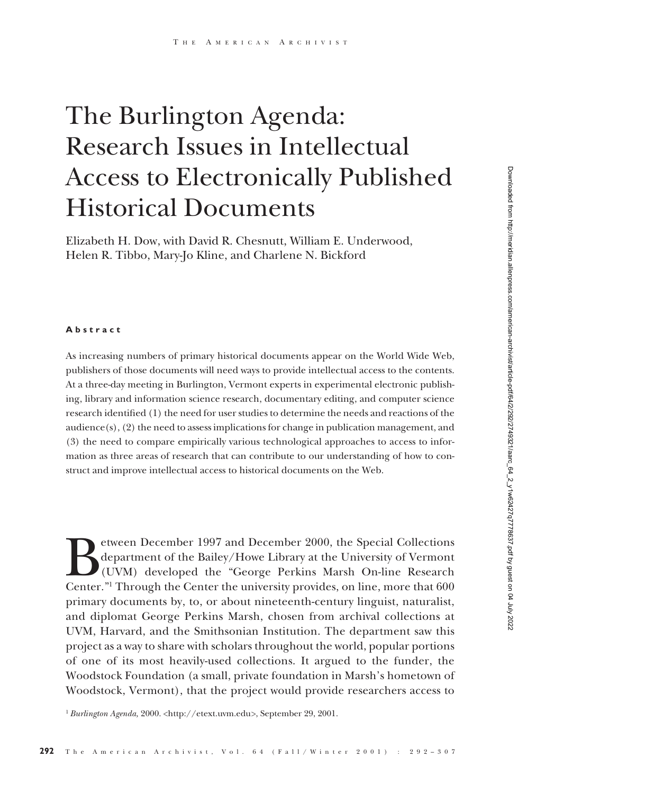# The Burlington Agenda: Research Issues in Intellectual Access to Electronically Published Historical Documents

Elizabeth H. Dow, with David R. Chesnutt, William E. Underwood, Helen R. Tibbo, Mary-Jo Kline, and Charlene N. Bickford

#### **Abstract**

As increasing numbers of primary historical documents appear on the World Wide Web, publishers of those documents will need ways to provide intellectual access to the contents. At a three-day meeting in Burlington, Vermont experts in experimental electronic publishing, library and information science research, documentary editing, and computer science research identified (1) the need for user studies to determine the needs and reactions of the audience $(s)$ ,  $(2)$  the need to assess implications for change in publication management, and (3) the need to compare empirically various technological approaches to access to information as three areas of research that can contribute to our understanding of how to construct and improve intellectual access to historical documents on the Web.

Downloaded from http://meridian.allenpress.com/american-archivist/article-pdf/64/2/2249321/aarc\_64\_2\_y1w62427q7778637.pdf by guest on 04 July 2022 Downloaded from http://meridian.allenpress.com/american-archivist/article-pdf/64/2/292/2749321/aarc\_64\_2\_y1w62427q7778637.pdf by guest on 04 July 2022

Eurean December 1997 and December 2000, the Special Collections<br>department of the Bailey/Howe Library at the University of Vermont<br>(UVM) developed the "George Perkins Marsh On-line Research<br>Center." Through the Center the department of the Bailey/Howe Library at the University of Vermont (UVM) developed the "George Perkins Marsh On-line Research Center."1 Through the Center the university provides, on line, more that 600 primary documents by, to, or about nineteenth-century linguist, naturalist, and diplomat George Perkins Marsh, chosen from archival collections at UVM, Harvard, and the Smithsonian Institution. The department saw this project as a way to share with scholars throughout the world, popular portions of one of its most heavily-used collections. It argued to the funder, the Woodstock Foundation (a small, private foundation in Marsh's hometown of Woodstock, Vermont), that the project would provide researchers access to

<sup>1</sup> *Burlington Agenda,* 2000. <http://etext.uvm.edu>, September 29, 2001.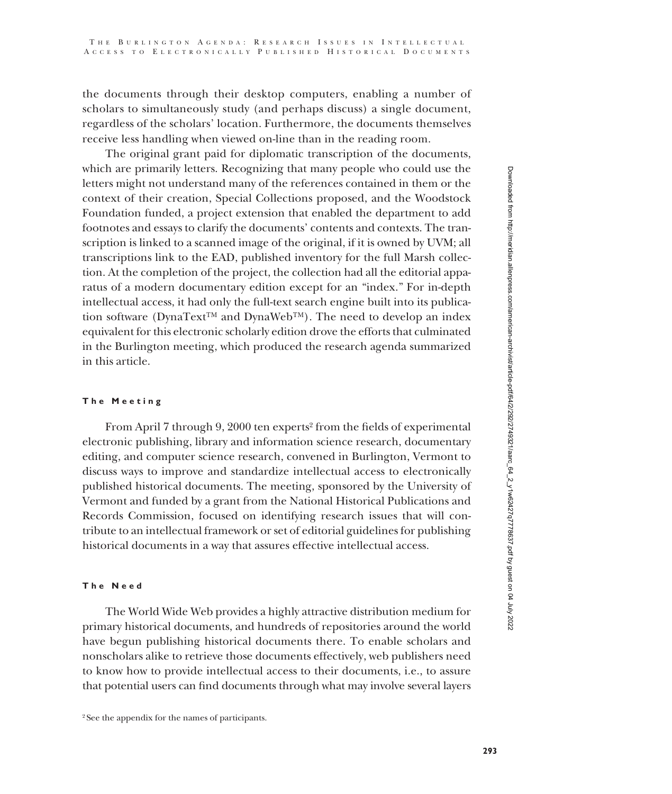the documents through their desktop computers, enabling a number of scholars to simultaneously study (and perhaps discuss) a single document, regardless of the scholars' location. Furthermore, the documents themselves receive less handling when viewed on-line than in the reading room.

The original grant paid for diplomatic transcription of the documents, which are primarily letters. Recognizing that many people who could use the letters might not understand many of the references contained in them or the context of their creation, Special Collections proposed, and the Woodstock Foundation funded, a project extension that enabled the department to add footnotes and essays to clarify the documents' contents and contexts. The transcription is linked to a scanned image of the original, if it is owned by UVM; all transcriptions link to the EAD, published inventory for the full Marsh collection. At the completion of the project, the collection had all the editorial apparatus of a modern documentary edition except for an "index." For in-depth intellectual access, it had only the full-text search engine built into its publication software (DynaText™ and DynaWeb™). The need to develop an index equivalent for this electronic scholarly edition drove the efforts that culminated in the Burlington meeting, which produced the research agenda summarized in this article.

# **The Meeting**

From April 7 through 9, 2000 ten experts<sup>2</sup> from the fields of experimental electronic publishing, library and information science research, documentary editing, and computer science research, convened in Burlington, Vermont to discuss ways to improve and standardize intellectual access to electronically published historical documents. The meeting, sponsored by the University of Vermont and funded by a grant from the National Historical Publications and Records Commission, focused on identifying research issues that will contribute to an intellectual framework or set of editorial guidelines for publishing historical documents in a way that assures effective intellectual access.

# **The Need**

The World Wide Web provides a highly attractive distribution medium for primary historical documents, and hundreds of repositories around the world have begun publishing historical documents there. To enable scholars and nonscholars alike to retrieve those documents effectively, web publishers need to know how to provide intellectual access to their documents, i.e., to assure that potential users can find documents through what may involve several layers

<sup>&</sup>lt;sup>2</sup> See the appendix for the names of participants.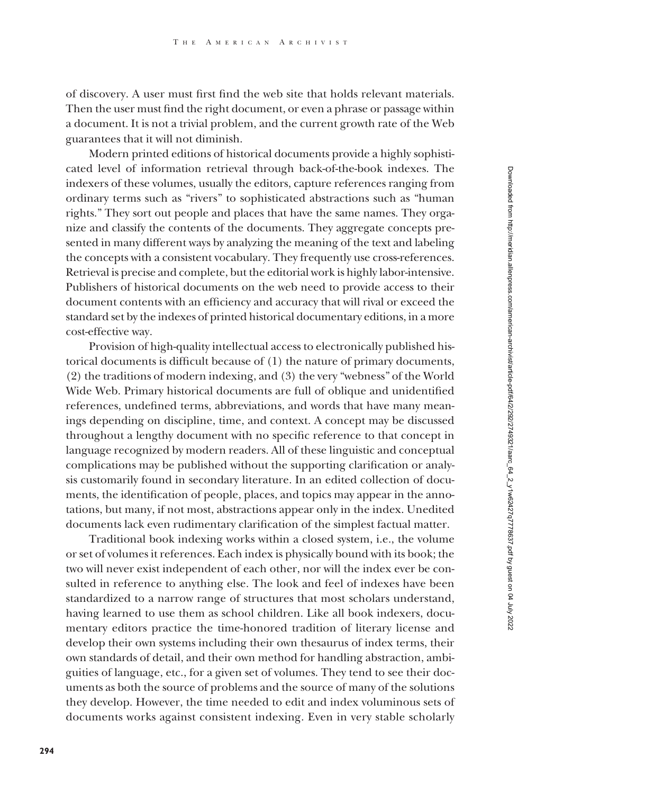of discovery. A user must first find the web site that holds relevant materials. Then the user must find the right document, or even a phrase or passage within a document. It is not a trivial problem, and the current growth rate of the Web guarantees that it will not diminish.

Modern printed editions of historical documents provide a highly sophisticated level of information retrieval through back-of-the-book indexes. The indexers of these volumes, usually the editors, capture references ranging from ordinary terms such as "rivers" to sophisticated abstractions such as "human rights." They sort out people and places that have the same names. They organize and classify the contents of the documents. They aggregate concepts presented in many different ways by analyzing the meaning of the text and labeling the concepts with a consistent vocabulary. They frequently use cross-references. Retrieval is precise and complete, but the editorial work is highly labor-intensive. Publishers of historical documents on the web need to provide access to their document contents with an efficiency and accuracy that will rival or exceed the standard set by the indexes of printed historical documentary editions, in a more cost-effective way.

Provision of high-quality intellectual access to electronically published historical documents is difficult because of (1) the nature of primary documents, (2) the traditions of modern indexing, and (3) the very "webness" of the World Wide Web. Primary historical documents are full of oblique and unidentified references, undefined terms, abbreviations, and words that have many meanings depending on discipline, time, and context. A concept may be discussed throughout a lengthy document with no specific reference to that concept in language recognized by modern readers. All of these linguistic and conceptual complications may be published without the supporting clarification or analysis customarily found in secondary literature. In an edited collection of documents, the identification of people, places, and topics may appear in the annotations, but many, if not most, abstractions appear only in the index. Unedited documents lack even rudimentary clarification of the simplest factual matter.

Traditional book indexing works within a closed system, i.e., the volume or set of volumes it references. Each index is physically bound with its book; the two will never exist independent of each other, nor will the index ever be consulted in reference to anything else. The look and feel of indexes have been standardized to a narrow range of structures that most scholars understand, having learned to use them as school children. Like all book indexers, documentary editors practice the time-honored tradition of literary license and develop their own systems including their own thesaurus of index terms, their own standards of detail, and their own method for handling abstraction, ambiguities of language, etc., for a given set of volumes. They tend to see their documents as both the source of problems and the source of many of the solutions they develop. However, the time needed to edit and index voluminous sets of documents works against consistent indexing. Even in very stable scholarly Downloaded from http://meridian.allenpress.com/american-archivist/article-pdf/64/2/292/2749321/aarc\_64\_2\_y1w62427q7778637.pdf by guest on 04 July 2022 Downloaded from http://meridian.allenpress.com/american-archivist/article-pdf/64/2/292/2749321/aarc\_64\_2\_y1w62427q7778637.pdf by guest on 04 July 2022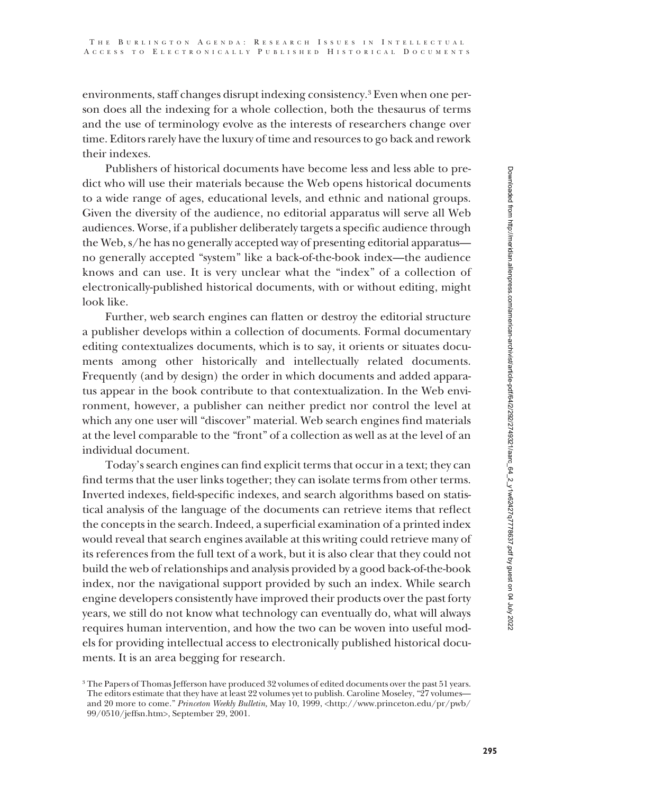environments, staff changes disrupt indexing consistency.3 Even when one person does all the indexing for a whole collection, both the thesaurus of terms and the use of terminology evolve as the interests of researchers change over time. Editors rarely have the luxury of time and resources to go back and rework their indexes.

Publishers of historical documents have become less and less able to predict who will use their materials because the Web opens historical documents to a wide range of ages, educational levels, and ethnic and national groups. Given the diversity of the audience, no editorial apparatus will serve all Web audiences. Worse, if a publisher deliberately targets a specific audience through the Web, s/he has no generally accepted way of presenting editorial apparatus no generally accepted "system" like a back-of-the-book index—the audience knows and can use. It is very unclear what the "index" of a collection of electronically-published historical documents, with or without editing, might look like.

Further, web search engines can flatten or destroy the editorial structure a publisher develops within a collection of documents. Formal documentary editing contextualizes documents, which is to say, it orients or situates documents among other historically and intellectually related documents. Frequently (and by design) the order in which documents and added apparatus appear in the book contribute to that contextualization. In the Web environment, however, a publisher can neither predict nor control the level at which any one user will "discover" material. Web search engines find materials at the level comparable to the "front" of a collection as well as at the level of an individual document.

Today's search engines can find explicit terms that occur in a text; they can find terms that the user links together; they can isolate terms from other terms. Inverted indexes, field-specific indexes, and search algorithms based on statistical analysis of the language of the documents can retrieve items that reflect the concepts in the search. Indeed, a superficial examination of a printed index would reveal that search engines available at this writing could retrieve many of its references from the full text of a work, but it is also clear that they could not build the web of relationships and analysis provided by a good back-of-the-book index, nor the navigational support provided by such an index. While search engine developers consistently have improved their products over the past forty years, we still do not know what technology can eventually do, what will always requires human intervention, and how the two can be woven into useful models for providing intellectual access to electronically published historical documents. It is an area begging for research.

Downloaded from http://meridian.allenpress.com/american-archivist/article-pdf/64/2/292/2749321/aarc\_64\_2\_y1w62427q7778637.pdf by guest on 04 July 2022 Downloaded from http://meridian.allenpress.com/american-archivist/article-pdf/64/2/292/2749321/aarc\_64\_2\_y1w62427q7778637.pdf by guest on 04 July 2022

<sup>&</sup>lt;sup>3</sup> The Papers of Thomas Jefferson have produced 32 volumes of edited documents over the past 51 years. The editors estimate that they have at least 22 volumes yet to publish. Caroline Moseley, "27 volumes and 20 more to come." *Princeton Weekly Bulletin,* May 10, 1999, <http://www.princeton.edu/pr/pwb/ 99/0510/jeffsn.htm>, September 29, 2001.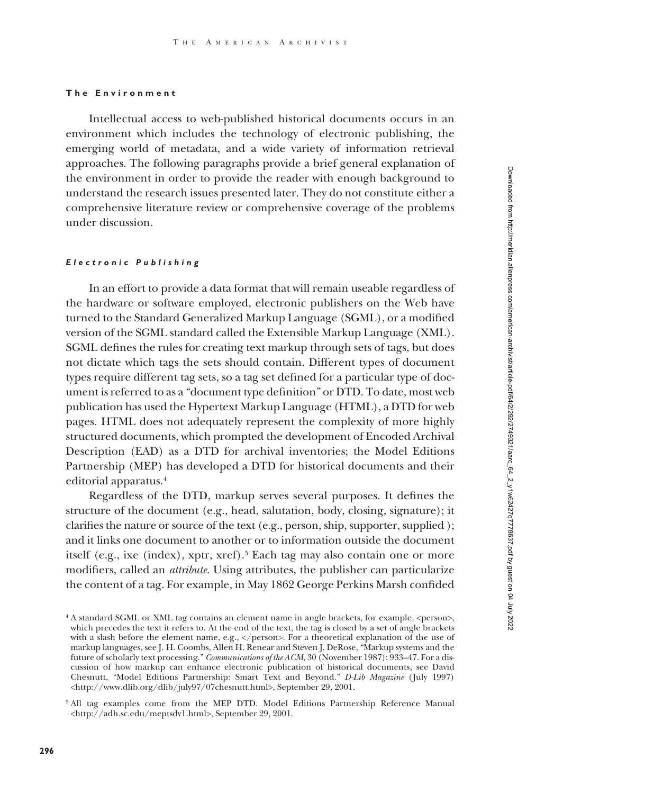# **The Environment**

Intellectual access to web-published historical documents occurs in an environment which includes the technology of electronic publishing, the emerging world of metadata, and a wide variety of information retrieval approaches. The following paragraphs provide a brief general explanation of the environment in order to provide the reader with enough background to understand the research issues presented later. They do not constitute either a comprehensive literature review or comprehensive coverage of the problems under discussion.

# *Electronic Publishing*

In an effort to provide a data format that will remain useable regardless of the hardware or software employed, electronic publishers on the Web have turned to the Standard Generalized Markup Language (SGML), or a modified version of the SGML standard called the Extensible Markup Language (XML). SGML defines the rules for creating text markup through sets of tags, but does not dictate which tags the sets should contain. Different types of document types require different tag sets, so a tag set defined for a particular type of document is referred to as a "document type definition" or DTD. To date, most web publication has used the Hypertext Markup Language (HTML), a DTD for web pages. HTML does not adequately represent the complexity of more highly structured documents, which prompted the development of Encoded Archival Description (EAD) as a DTD for archival inventories; the Model Editions Partnership (MEP) has developed a DTD for historical documents and their editorial apparatus.4

Regardless of the DTD, markup serves several purposes. It defines the structure of the document (e.g., head, salutation, body, closing, signature); it clarifies the nature or source of the text (e.g., person, ship, supporter, supplied ); and it links one document to another or to information outside the document itself (e.g., ixe (index), xptr, xref).<sup>5</sup> Each tag may also contain one or more modifiers, called an *attribute.* Using attributes, the publisher can particularize the content of a tag. For example, in May 1862 George Perkins Marsh confided

<sup>&</sup>lt;sup>4</sup> A standard SGML or XML tag contains an element name in angle brackets, for example, <person>, which precedes the text it refers to. At the end of the text, the tag is closed by a set of angle brackets with a slash before the element name, e.g., </person>. For a theoretical explanation of the use of markup languages, see J. H. Coombs, Allen H. Renear and Steven J. DeRose, "Markup systems and the future of scholarly text processing." *Communications of the ACM*, 30 (November 1987): 933–47. For a discussion of how markup can enhance electronic publication of historical documents, see David Chesnutt, "Model Editions Partnership: Smart Text and Beyond." *D-Lib Magazine* (July 1997) <http://www.dlib.org/dlib/july97/07chesnutt.html>, September 29, 2001.

<sup>5</sup> All tag examples come from the MEP DTD. Model Editions Partnership Reference Manual <http://adh.sc.edu/meptsdv1.html>, September 29, 2001.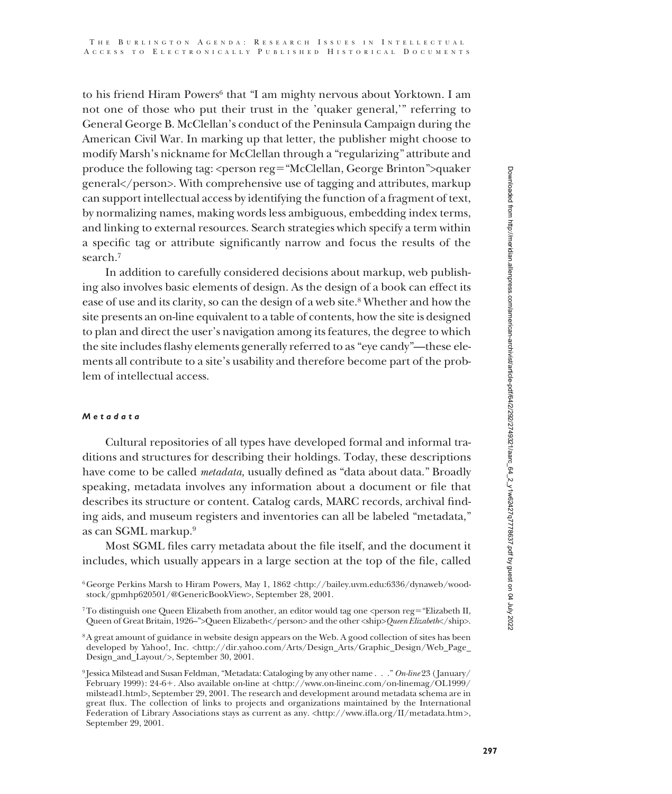to his friend Hiram Powers<sup>6</sup> that "I am mighty nervous about Yorktown. I am not one of those who put their trust in the 'quaker general,'" referring to General George B. McClellan's conduct of the Peninsula Campaign during the American Civil War. In marking up that letter, the publisher might choose to modify Marsh's nickname for McClellan through a "regularizing" attribute and produce the following tag:  $\epsilon$  person reg="McClellan, George Brinton">quaker general</person>. With comprehensive use of tagging and attributes, markup can support intellectual access by identifying the function of a fragment of text, by normalizing names, making words less ambiguous, embedding index terms, and linking to external resources. Search strategies which specify a term within a specific tag or attribute significantly narrow and focus the results of the search.7

In addition to carefully considered decisions about markup, web publishing also involves basic elements of design. As the design of a book can effect its ease of use and its clarity, so can the design of a web site.<sup>8</sup> Whether and how the site presents an on-line equivalent to a table of contents, how the site is designed to plan and direct the user's navigation among its features, the degree to which the site includes flashy elements generally referred to as "eye candy"—these elements all contribute to a site's usability and therefore become part of the problem of intellectual access.

# *Metadata*

Cultural repositories of all types have developed formal and informal traditions and structures for describing their holdings. Today, these descriptions have come to be called *metadata,* usually defined as "data about data." Broadly speaking, metadata involves any information about a document or file that describes its structure or content. Catalog cards, MARC records, archival finding aids, and museum registers and inventories can all be labeled "metadata," as can SGML markup.9

Most SGML files carry metadata about the file itself, and the document it includes, which usually appears in a large section at the top of the file, called

<sup>6</sup>George Perkins Marsh to Hiram Powers, May 1, 1862 <http://bailey.uvm.edu:6336/dynaweb/woodstock/gpmhp620501/@GenericBookView>, September 28, 2001.

<sup>&</sup>lt;sup>7</sup>To distinguish one Queen Elizabeth from another, an editor would tag one <person reg="Elizabeth II, Queen of Great Britain, 1926–">Queen Elizabeth</person> and the other <ship>*Queen Elizabeth*</ship>.

<sup>8</sup>A great amount of guidance in website design appears on the Web. A good collection of sites has been developed by Yahoo!, Inc. <http://dir.yahoo.com/Arts/Design\_Arts/Graphic\_Design/Web\_Page\_ Design\_and\_Layout/>, September 30, 2001.

<sup>9</sup> Jessica Milstead and Susan Feldman, "Metadata: Cataloging by any other name . . ." *On-line* 23 ( January/ February 1999): 24-6-. Also available on-line at <http://www.on-lineinc.com/on-linemag/OL1999/ milstead1.html>, September 29, 2001. The research and development around metadata schema are in great flux. The collection of links to projects and organizations maintained by the International Federation of Library Associations stays as current as any. <http://www.ifla.org/II/metadata.htm>, September 29, 2001.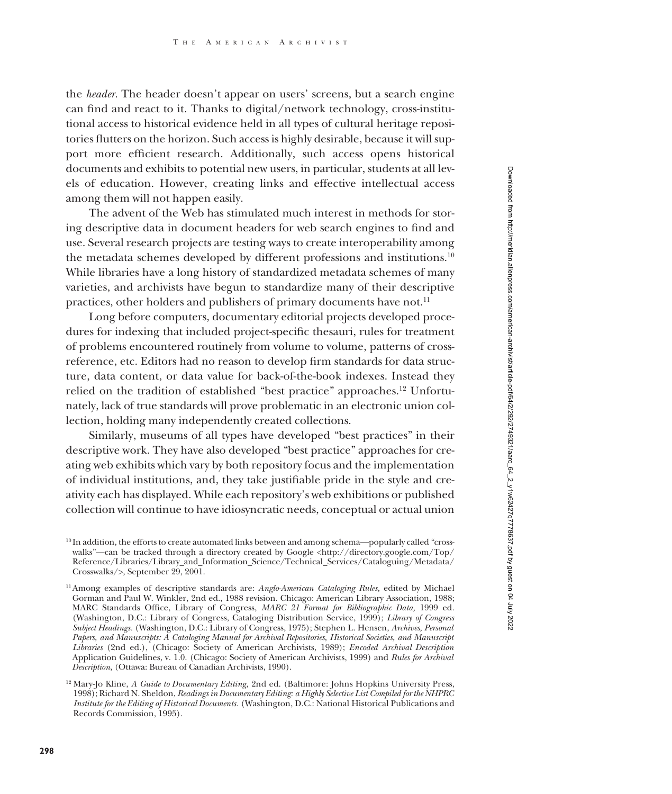the *header.* The header doesn't appear on users' screens, but a search engine can find and react to it. Thanks to digital/network technology, cross-institutional access to historical evidence held in all types of cultural heritage repositories flutters on the horizon. Such access is highly desirable, because it will support more efficient research. Additionally, such access opens historical documents and exhibits to potential new users, in particular, students at all levels of education. However, creating links and effective intellectual access among them will not happen easily.

The advent of the Web has stimulated much interest in methods for storing descriptive data in document headers for web search engines to find and use. Several research projects are testing ways to create interoperability among the metadata schemes developed by different professions and institutions.<sup>10</sup> While libraries have a long history of standardized metadata schemes of many varieties, and archivists have begun to standardize many of their descriptive practices, other holders and publishers of primary documents have not.<sup>11</sup>

Long before computers, documentary editorial projects developed procedures for indexing that included project-specific thesauri, rules for treatment of problems encountered routinely from volume to volume, patterns of crossreference, etc. Editors had no reason to develop firm standards for data structure, data content, or data value for back-of-the-book indexes. Instead they relied on the tradition of established "best practice" approaches.12 Unfortunately, lack of true standards will prove problematic in an electronic union collection, holding many independently created collections.

Similarly, museums of all types have developed "best practices" in their descriptive work. They have also developed "best practice" approaches for creating web exhibits which vary by both repository focus and the implementation of individual institutions, and, they take justifiable pride in the style and creativity each has displayed. While each repository's web exhibitions or published collection will continue to have idiosyncratic needs, conceptual or actual union

<sup>10</sup> In addition, the efforts to create automated links between and among schema—popularly called "crosswalks"—can be tracked through a directory created by Google <http://directory.google.com/Top/ Reference/Libraries/Library\_and\_Information\_Science/Technical\_Services/Cataloguing/Metadata/ Crosswalks/>, September 29, 2001.

<sup>11</sup>Among examples of descriptive standards are: *Anglo-American Cataloging Rules,* edited by Michael Gorman and Paul W. Winkler, 2nd ed., 1988 revision. Chicago: American Library Association, 1988; MARC Standards Office, Library of Congress, *MARC 21 Format for Bibliographic Data,* 1999 ed. (Washington, D.C.: Library of Congress, Cataloging Distribution Service, 1999); *Library of Congress Subject Headings.* (Washington, D.C.: Library of Congress, 1975); Stephen L. Hensen, *Archives, Personal Papers, and Manuscripts: A Cataloging Manual for Archival Repositories, Historical Societies, and Manuscript Libraries* (2nd ed.), (Chicago: Society of American Archivists, 1989); *Encoded Archival Description* Application Guidelines, v. 1.0. (Chicago: Society of American Archivists, 1999) and *Rules for Archival Description,* (Ottawa: Bureau of Canadian Archivists, 1990).

<sup>12</sup> Mary-Jo Kline, *A Guide to Documentary Editing,* 2nd ed. (Baltimore: Johns Hopkins University Press, 1998); Richard N. Sheldon, *Readings in Documentary Editing: a Highly Selective List Compiled for the NHPRC Institute for the Editing of Historical Documents.* (Washington, D.C.: National Historical Publications and Records Commission, 1995).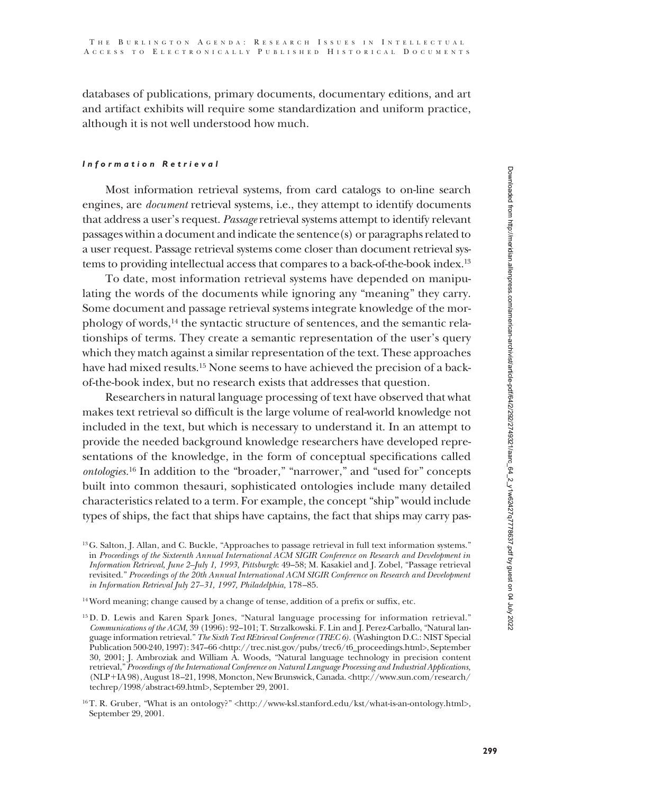databases of publications, primary documents, documentary editions, and art and artifact exhibits will require some standardization and uniform practice, although it is not well understood how much.

# *Information Retrieval*

Most information retrieval systems, from card catalogs to on-line search engines, are *document* retrieval systems, i.e., they attempt to identify documents that address a user's request. *Passage* retrieval systems attempt to identify relevant passages within a document and indicate the sentence(s) or paragraphs related to a user request. Passage retrieval systems come closer than document retrieval systems to providing intellectual access that compares to a back-of-the-book index.13

To date, most information retrieval systems have depended on manipulating the words of the documents while ignoring any "meaning" they carry. Some document and passage retrieval systems integrate knowledge of the morphology of words, $^{14}$  the syntactic structure of sentences, and the semantic relationships of terms. They create a semantic representation of the user's query which they match against a similar representation of the text. These approaches have had mixed results.15 None seems to have achieved the precision of a backof-the-book index, but no research exists that addresses that question.

Researchers in natural language processing of text have observed that what makes text retrieval so difficult is the large volume of real-world knowledge not included in the text, but which is necessary to understand it. In an attempt to provide the needed background knowledge researchers have developed representations of the knowledge, in the form of conceptual specifications called *ontologies.*<sup>16</sup> In addition to the "broader," "narrower," and "used for" concepts built into common thesauri, sophisticated ontologies include many detailed characteristics related to a term. For example, the concept "ship" would include types of ships, the fact that ships have captains, the fact that ships may carry pas-

<sup>13</sup>G. Salton, J. Allan, and C. Buckle, "Approaches to passage retrieval in full text information systems." in *Proceedings of the Sixteenth Annual International ACM SIGIR Conference on Research and Development in Information Retrieval, June 2–July 1, 1993, Pittsburgh*: 49–58; M. Kasakiel and J. Zobel, "Passage retrieval revisited." *Proceedings of the 20th Annual International ACM SIGIR Conference on Research and Development in Information Retrieval July 27–31, 1997, Philadelphia,* 178–85.

<sup>14</sup> Word meaning; change caused by a change of tense, addition of a prefix or suffix, etc.

<sup>15</sup> D. D. Lewis and Karen Spark Jones, "Natural language processing for information retrieval." *Communications of the ACM,* 39 (1996): 92–101; T. Strzalkowski. F. Lin and J. Perez-Carballo, "Natural language information retrieval." *The Sixth Text REtrieval Conference (TREC 6).* (Washington D.C.: NIST Special Publication 500-240, 1997): 347-66 <http://trec.nist.gov/pubs/trec6/t6\_proceedings.html>, September 30, 2001; J. Ambroziak and William A. Woods, "Natural language technology in precision content retrieval," *Proceedings of the International Conference on Natural Language Processing and Industrial Applications,* (NLP-IA 98), August 18–21, 1998, Moncton, New Brunswick, Canada. <http://www.sun.com/research/ techrep/1998/abstract-69.html>, September 29, 2001.

<sup>16</sup>T. R. Gruber, "What is an ontology?" <http://www-ksl.stanford.edu/kst/what-is-an-ontology.html>, September 29, 2001.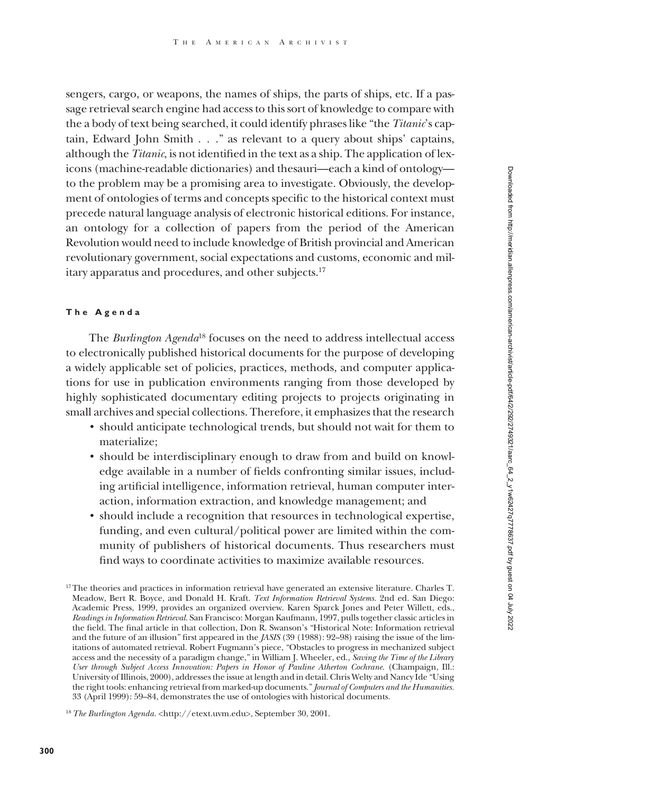sengers, cargo, or weapons, the names of ships, the parts of ships, etc. If a passage retrieval search engine had access to this sort of knowledge to compare with the a body of text being searched, it could identify phrases like "the *Titanic*'s captain, Edward John Smith . . ." as relevant to a query about ships' captains, although the *Titanic*, is not identified in the text as a ship. The application of lexicons (machine-readable dictionaries) and thesauri—each a kind of ontology to the problem may be a promising area to investigate. Obviously, the development of ontologies of terms and concepts specific to the historical context must precede natural language analysis of electronic historical editions. For instance, an ontology for a collection of papers from the period of the American Revolution would need to include knowledge of British provincial and American revolutionary government, social expectations and customs, economic and military apparatus and procedures, and other subjects.17

# **The Agenda**

The *Burlington Agenda*<sup>18</sup> focuses on the need to address intellectual access to electronically published historical documents for the purpose of developing a widely applicable set of policies, practices, methods, and computer applications for use in publication environments ranging from those developed by highly sophisticated documentary editing projects to projects originating in small archives and special collections. Therefore, it emphasizes that the research

- should anticipate technological trends, but should not wait for them to materialize;
- should be interdisciplinary enough to draw from and build on knowledge available in a number of fields confronting similar issues, including artificial intelligence, information retrieval, human computer interaction, information extraction, and knowledge management; and
- should include a recognition that resources in technological expertise, funding, and even cultural/political power are limited within the community of publishers of historical documents. Thus researchers must find ways to coordinate activities to maximize available resources.

<sup>&</sup>lt;sup>17</sup>The theories and practices in information retrieval have generated an extensive literature. Charles T. Meadow, Bert R. Boyce, and Donald H. Kraft. *Text Information Retrieval Systems.* 2nd ed. San Diego: Academic Press, 1999, provides an organized overview. Karen Sparck Jones and Peter Willett, eds., *Readings in Information Retrieval.* San Francisco: Morgan Kaufmann, 1997, pulls together classic articles in the field. The final article in that collection, Don R. Swanson's "Historical Note: Information retrieval and the future of an illusion" first appeared in the *JASIS* (39 (1988): 92–98) raising the issue of the limitations of automated retrieval. Robert Fugmann's piece, "Obstacles to progress in mechanized subject access and the necessity of a paradigm change," in William J. Wheeler, ed., *Saving the Time of the Library User through Subject Access Innovation: Papers in Honor of Pauline Atherton Cochrane.* (Champaign, Ill.: University of Illinois, 2000), addresses the issue at length and in detail. Chris Welty and Nancy Ide "Using the right tools: enhancing retrieval from marked-up documents." *Journal of Computers and the Humanities.* 33 (April 1999): 59–84, demonstrates the use of ontologies with historical documents.

<sup>&</sup>lt;sup>18</sup> The Burlington Agenda. < http://etext.uvm.edu>, September 30, 2001.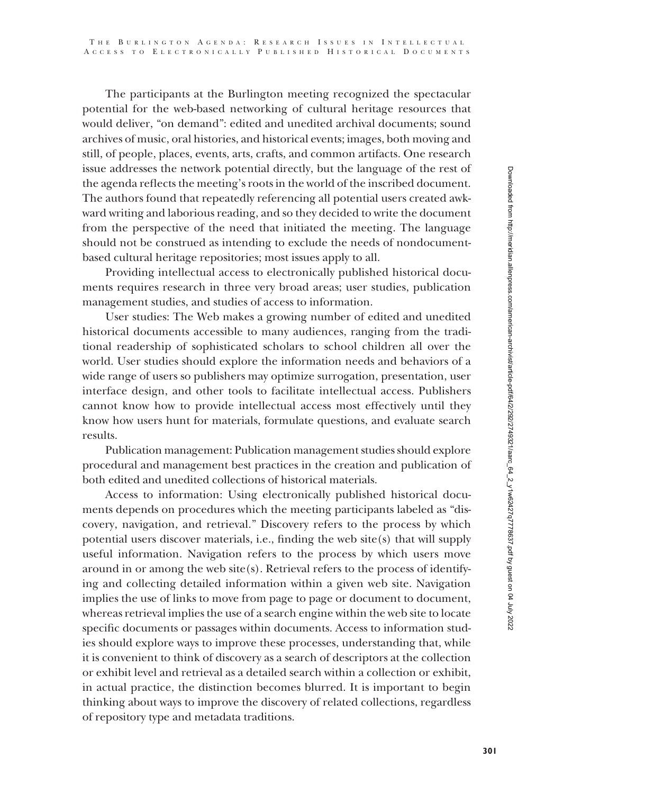The participants at the Burlington meeting recognized the spectacular potential for the web-based networking of cultural heritage resources that would deliver, "on demand": edited and unedited archival documents; sound archives of music, oral histories, and historical events; images, both moving and still, of people, places, events, arts, crafts, and common artifacts. One research issue addresses the network potential directly, but the language of the rest of the agenda reflects the meeting's roots in the world of the inscribed document. The authors found that repeatedly referencing all potential users created awkward writing and laborious reading, and so they decided to write the document from the perspective of the need that initiated the meeting. The language should not be construed as intending to exclude the needs of nondocumentbased cultural heritage repositories; most issues apply to all.

Providing intellectual access to electronically published historical documents requires research in three very broad areas; user studies, publication management studies, and studies of access to information.

User studies: The Web makes a growing number of edited and unedited historical documents accessible to many audiences, ranging from the traditional readership of sophisticated scholars to school children all over the world. User studies should explore the information needs and behaviors of a wide range of users so publishers may optimize surrogation, presentation, user interface design, and other tools to facilitate intellectual access. Publishers cannot know how to provide intellectual access most effectively until they know how users hunt for materials, formulate questions, and evaluate search results.

Publication management: Publication management studies should explore procedural and management best practices in the creation and publication of both edited and unedited collections of historical materials.

Access to information: Using electronically published historical documents depends on procedures which the meeting participants labeled as "discovery, navigation, and retrieval." Discovery refers to the process by which potential users discover materials, i.e., finding the web site(s) that will supply useful information. Navigation refers to the process by which users move around in or among the web site(s). Retrieval refers to the process of identifying and collecting detailed information within a given web site. Navigation implies the use of links to move from page to page or document to document, whereas retrieval implies the use of a search engine within the web site to locate specific documents or passages within documents. Access to information studies should explore ways to improve these processes, understanding that, while it is convenient to think of discovery as a search of descriptors at the collection or exhibit level and retrieval as a detailed search within a collection or exhibit, in actual practice, the distinction becomes blurred. It is important to begin thinking about ways to improve the discovery of related collections, regardless of repository type and metadata traditions.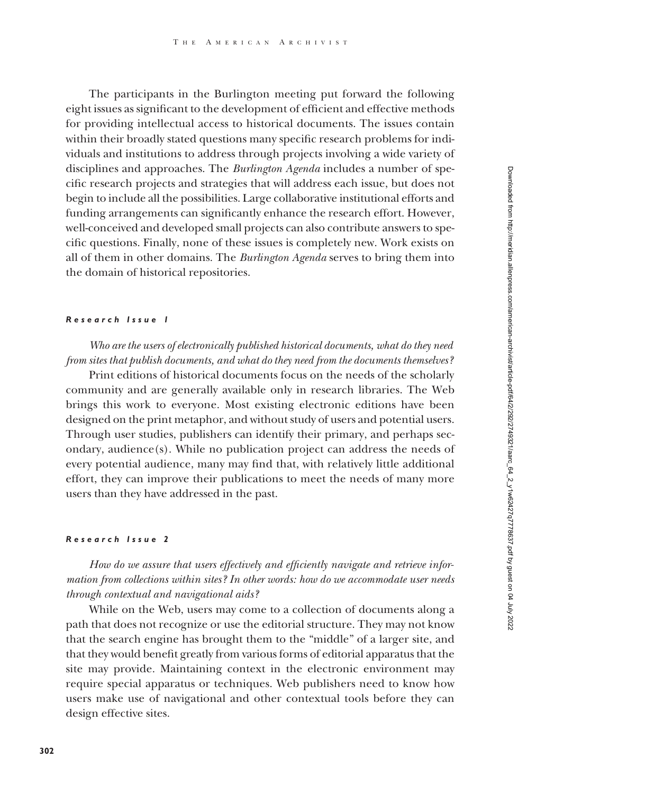The participants in the Burlington meeting put forward the following eight issues as significant to the development of efficient and effective methods for providing intellectual access to historical documents. The issues contain within their broadly stated questions many specific research problems for individuals and institutions to address through projects involving a wide variety of disciplines and approaches. The *Burlington Agenda* includes a number of specific research projects and strategies that will address each issue, but does not begin to include all the possibilities. Large collaborative institutional efforts and funding arrangements can significantly enhance the research effort. However, well-conceived and developed small projects can also contribute answers to specific questions. Finally, none of these issues is completely new. Work exists on all of them in other domains. The *Burlington Agenda* serves to bring them into the domain of historical repositories.

# *Research Issue 1*

*Who are the users of electronically published historical documents, what do they need from sites that publish documents, and what do they need from the documents themselves?*

Print editions of historical documents focus on the needs of the scholarly community and are generally available only in research libraries. The Web brings this work to everyone. Most existing electronic editions have been designed on the print metaphor, and without study of users and potential users. Through user studies, publishers can identify their primary, and perhaps secondary, audience(s). While no publication project can address the needs of every potential audience, many may find that, with relatively little additional effort, they can improve their publications to meet the needs of many more users than they have addressed in the past.

#### *Research Issue 2*

*How do we assure that users effectively and efficiently navigate and retrieve information from collections within sites? In other words: how do we accommodate user needs through contextual and navigational aids?*

While on the Web, users may come to a collection of documents along a path that does not recognize or use the editorial structure. They may not know that the search engine has brought them to the "middle" of a larger site, and that they would benefit greatly from various forms of editorial apparatus that the site may provide. Maintaining context in the electronic environment may require special apparatus or techniques. Web publishers need to know how users make use of navigational and other contextual tools before they can design effective sites.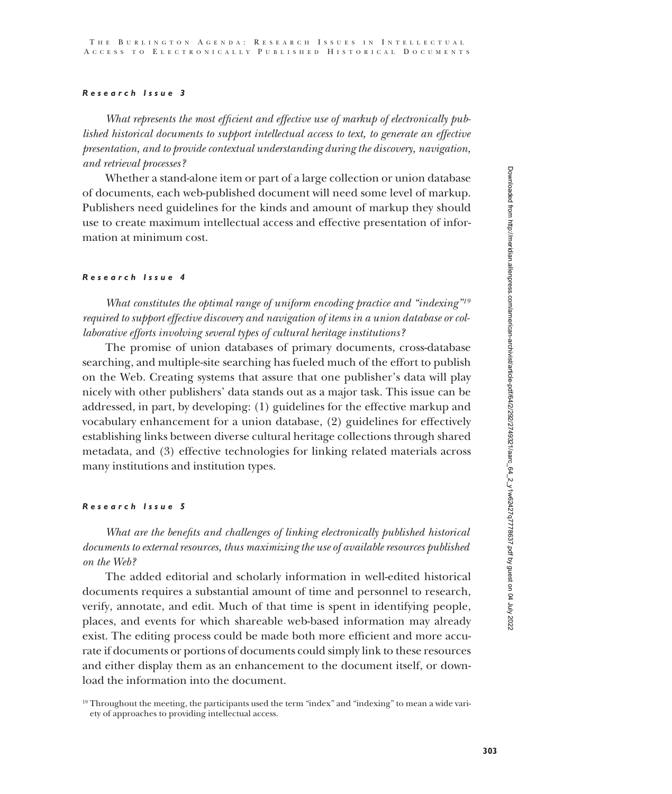# *Research Issue 3*

*What represents the most efficient and effective use of markup of electronically published historical documents to support intellectual access to text, to generate an effective presentation, and to provide contextual understanding during the discovery, navigation, and retrieval processes?*

Whether a stand-alone item or part of a large collection or union database of documents, each web-published document will need some level of markup. Publishers need guidelines for the kinds and amount of markup they should use to create maximum intellectual access and effective presentation of information at minimum cost.

# *Research Issue 4*

*What constitutes the optimal range of uniform encoding practice and "indexing"19 required to support effective discovery and navigation of items in a union database or collaborative efforts involving several types of cultural heritage institutions?*

The promise of union databases of primary documents, cross-database searching, and multiple-site searching has fueled much of the effort to publish on the Web. Creating systems that assure that one publisher's data will play nicely with other publishers' data stands out as a major task. This issue can be addressed, in part, by developing: (1) guidelines for the effective markup and vocabulary enhancement for a union database, (2) guidelines for effectively establishing links between diverse cultural heritage collections through shared metadata, and (3) effective technologies for linking related materials across many institutions and institution types.

# *Research Issue 5*

*What are the benefits and challenges of linking electronically published historical documents to external resources, thus maximizing the use of available resources published on the Web?*

The added editorial and scholarly information in well-edited historical documents requires a substantial amount of time and personnel to research, verify, annotate, and edit. Much of that time is spent in identifying people, places, and events for which shareable web-based information may already exist. The editing process could be made both more efficient and more accurate if documents or portions of documents could simply link to these resources and either display them as an enhancement to the document itself, or download the information into the document.

<sup>&</sup>lt;sup>19</sup> Throughout the meeting, the participants used the term "index" and "indexing" to mean a wide variety of approaches to providing intellectual access.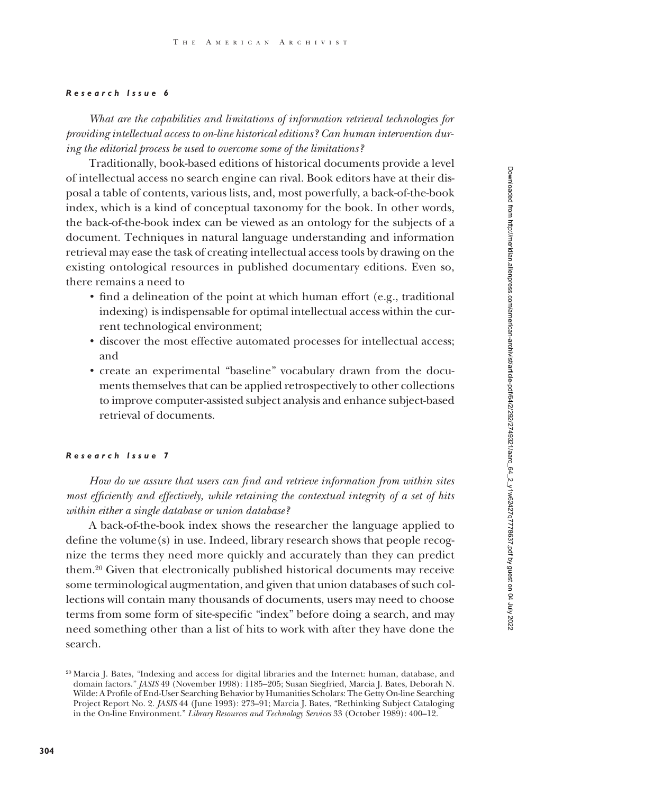# *Research Issue 6*

*What are the capabilities and limitations of information retrieval technologies for providing intellectual access to on-line historical editions? Can human intervention during the editorial process be used to overcome some of the limitations?*

Traditionally, book-based editions of historical documents provide a level of intellectual access no search engine can rival. Book editors have at their disposal a table of contents, various lists, and, most powerfully, a back-of-the-book index, which is a kind of conceptual taxonomy for the book. In other words, the back-of-the-book index can be viewed as an ontology for the subjects of a document. Techniques in natural language understanding and information retrieval may ease the task of creating intellectual access tools by drawing on the existing ontological resources in published documentary editions. Even so, there remains a need to

- find a delineation of the point at which human effort (e.g., traditional indexing) is indispensable for optimal intellectual access within the current technological environment;
- discover the most effective automated processes for intellectual access; and
- create an experimental "baseline" vocabulary drawn from the documents themselves that can be applied retrospectively to other collections to improve computer-assisted subject analysis and enhance subject-based retrieval of documents.

#### *Research Issue 7*

*How do we assure that users can find and retrieve information from within sites most efficiently and effectively, while retaining the contextual integrity of a set of hits within either a single database or union database?*

A back-of-the-book index shows the researcher the language applied to define the volume(s) in use. Indeed, library research shows that people recognize the terms they need more quickly and accurately than they can predict them.20 Given that electronically published historical documents may receive some terminological augmentation, and given that union databases of such collections will contain many thousands of documents, users may need to choose terms from some form of site-specific "index" before doing a search, and may need something other than a list of hits to work with after they have done the search.

Downloaded from http://meridian.allenpress.com/american-archivist/article-pdf/64/2/292/2749321/aarc\_64\_2\_y1w62427q7778637.pdf by guest on 04 July 2022 Downloaded from http://meridian.allenpress.com/american-archivist/article-pdf/64/2/292/2749321/aarc\_64\_2\_y1w62427q7778637.pdf by guest on 04 July 2022

<sup>20</sup> Marcia J. Bates, "Indexing and access for digital libraries and the Internet: human, database, and domain factors." *JASIS* 49 (November 1998): 1185–205; Susan Siegfried, Marcia J. Bates, Deborah N. Wilde: A Profile of End-User Searching Behavior by Humanities Scholars: The Getty On-line Searching Project Report No. 2. *JASIS* 44 (June 1993): 273–91; Marcia J. Bates, "Rethinking Subject Cataloging in the On-line Environment." *Library Resources and Technology Services* 33 (October 1989): 400–12.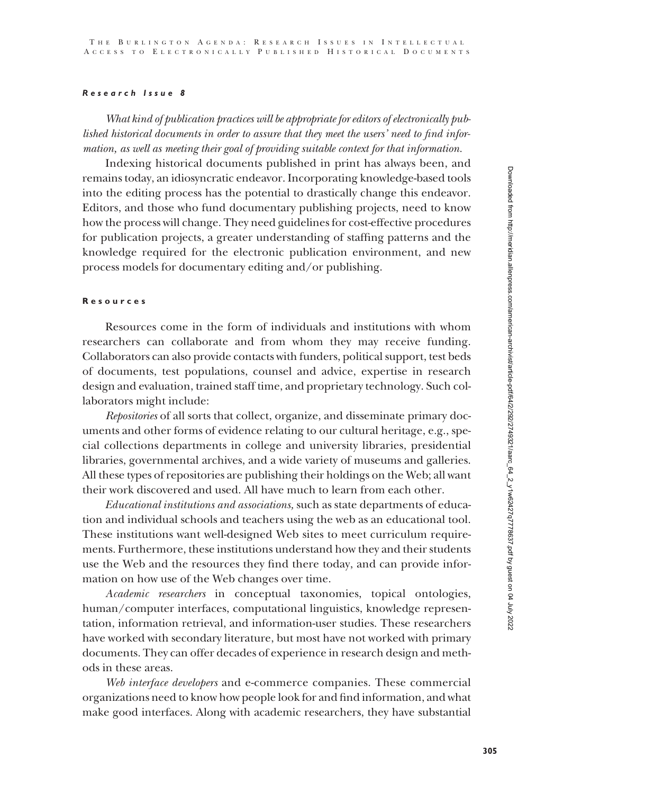# *Research Issue 8*

*What kind of publication practices will be appropriate for editors of electronically published historical documents in order to assure that they meet the users' need to find information, as well as meeting their goal of providing suitable context for that information.*

Indexing historical documents published in print has always been, and remains today, an idiosyncratic endeavor. Incorporating knowledge-based tools into the editing process has the potential to drastically change this endeavor. Editors, and those who fund documentary publishing projects, need to know how the process will change. They need guidelines for cost-effective procedures for publication projects, a greater understanding of staffing patterns and the knowledge required for the electronic publication environment, and new process models for documentary editing and/or publishing.

# **Resources**

Resources come in the form of individuals and institutions with whom researchers can collaborate and from whom they may receive funding. Collaborators can also provide contacts with funders, political support, test beds of documents, test populations, counsel and advice, expertise in research design and evaluation, trained staff time, and proprietary technology. Such collaborators might include:

*Repositories* of all sorts that collect, organize, and disseminate primary documents and other forms of evidence relating to our cultural heritage, e.g., special collections departments in college and university libraries, presidential libraries, governmental archives, and a wide variety of museums and galleries. All these types of repositories are publishing their holdings on the Web; all want their work discovered and used. All have much to learn from each other.

*Educational institutions and associations,* such as state departments of education and individual schools and teachers using the web as an educational tool. These institutions want well-designed Web sites to meet curriculum requirements. Furthermore, these institutions understand how they and their students use the Web and the resources they find there today, and can provide information on how use of the Web changes over time.

*Academic researchers* in conceptual taxonomies, topical ontologies, human/computer interfaces, computational linguistics, knowledge representation, information retrieval, and information-user studies. These researchers have worked with secondary literature, but most have not worked with primary documents. They can offer decades of experience in research design and methods in these areas.

*Web interface developers* and e-commerce companies. These commercial organizations need to know how people look for and find information, and what make good interfaces. Along with academic researchers, they have substantial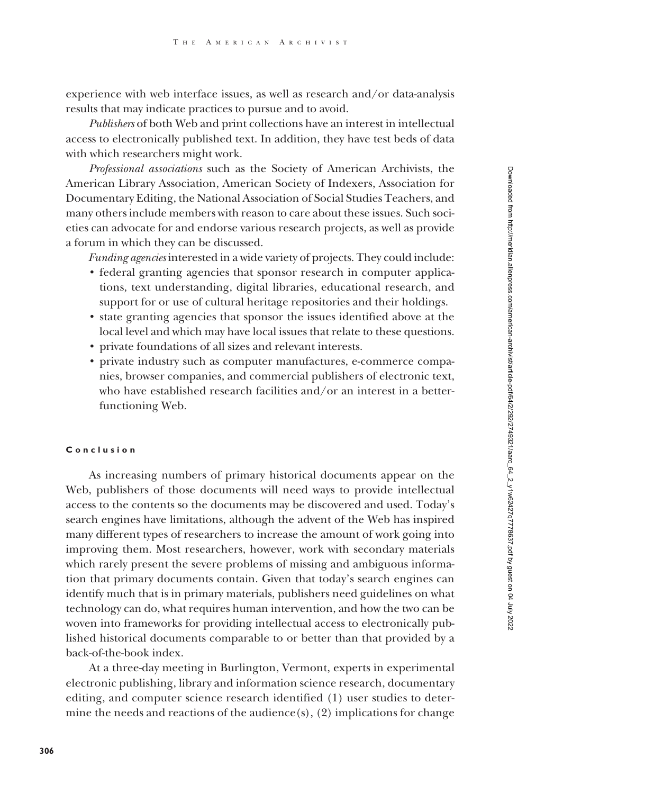experience with web interface issues, as well as research and/or data-analysis results that may indicate practices to pursue and to avoid.

*Publishers* of both Web and print collections have an interest in intellectual access to electronically published text. In addition, they have test beds of data with which researchers might work.

*Professional associations* such as the Society of American Archivists, the American Library Association, American Society of Indexers, Association for Documentary Editing, the National Association of Social Studies Teachers, and many others include members with reason to care about these issues. Such societies can advocate for and endorse various research projects, as well as provide a forum in which they can be discussed.

*Funding agencies* interested in a wide variety of projects. They could include:

- federal granting agencies that sponsor research in computer applications, text understanding, digital libraries, educational research, and support for or use of cultural heritage repositories and their holdings.
- state granting agencies that sponsor the issues identified above at the local level and which may have local issues that relate to these questions.
- private foundations of all sizes and relevant interests.
- private industry such as computer manufactures, e-commerce companies, browser companies, and commercial publishers of electronic text, who have established research facilities and/or an interest in a betterfunctioning Web.

# **Conclusion**

As increasing numbers of primary historical documents appear on the Web, publishers of those documents will need ways to provide intellectual access to the contents so the documents may be discovered and used. Today's search engines have limitations, although the advent of the Web has inspired many different types of researchers to increase the amount of work going into improving them. Most researchers, however, work with secondary materials which rarely present the severe problems of missing and ambiguous information that primary documents contain. Given that today's search engines can identify much that is in primary materials, publishers need guidelines on what technology can do, what requires human intervention, and how the two can be woven into frameworks for providing intellectual access to electronically published historical documents comparable to or better than that provided by a back-of-the-book index.

At a three-day meeting in Burlington, Vermont, experts in experimental electronic publishing, library and information science research, documentary editing, and computer science research identified (1) user studies to determine the needs and reactions of the audience(s),  $(2)$  implications for change